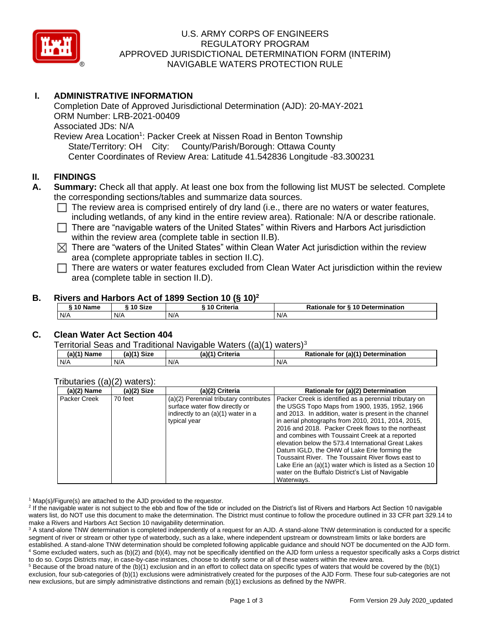

## U.S. ARMY CORPS OF ENGINEERS REGULATORY PROGRAM APPROVED JURISDICTIONAL DETERMINATION FORM (INTERIM) NAVIGABLE WATERS PROTECTION RULE

## **I. ADMINISTRATIVE INFORMATION**

Completion Date of Approved Jurisdictional Determination (AJD): 20-MAY-2021 ORM Number: LRB-2021-00409 Associated JDs: N/A Review Area Location<sup>1</sup>: Packer Creek at Nissen Road in Benton Township State/Territory: OH City: County/Parish/Borough: Ottawa County Center Coordinates of Review Area: Latitude 41.542836 Longitude -83.300231

### **II. FINDINGS**

- **A. Summary:** Check all that apply. At least one box from the following list MUST be selected. Complete the corresponding sections/tables and summarize data sources.
	- $\Box$  The review area is comprised entirely of dry land (i.e., there are no waters or water features, including wetlands, of any kind in the entire review area). Rationale: N/A or describe rationale.
	- $\Box$  There are "navigable waters of the United States" within Rivers and Harbors Act jurisdiction within the review area (complete table in section II.B).
	- $\boxtimes$  There are "waters of the United States" within Clean Water Act jurisdiction within the review area (complete appropriate tables in section II.C).
	- $\Box$  There are waters or water features excluded from Clean Water Act jurisdiction within the review area (complete table in section II.D).

#### **B. Rivers and Harbors Act of 1899 Section 10 (§ 10)<sup>2</sup>**

| ົ 10 Name | ົ <sup>1</sup> 0 Size | Criteria<br>10 | Rationale for § 10 Determination |  |  |
|-----------|-----------------------|----------------|----------------------------------|--|--|
| N/A       | N/A                   | N/A            | N/A                              |  |  |

## **C. Clean Water Act Section 404**

Territorial Seas and Traditional Navigable Waters  $((a)(1)$  waters)<sup>3</sup>

| (a)(1) Name | $(a)(1)$ Size | (a)(1)<br><b>Criteria</b> | for (a)(1) Determination<br>Rationale |  |  |
|-------------|---------------|---------------------------|---------------------------------------|--|--|
| N/A         | N/A           | N/A                       | N/A                                   |  |  |

#### Tributaries ((a)(2) waters):

| $(a)(2)$ Name | $(a)(2)$ Size | (a)(2) Criteria                        | Rationale for (a)(2) Determination                        |
|---------------|---------------|----------------------------------------|-----------------------------------------------------------|
| Packer Creek  | 70 feet       | (a)(2) Perennial tributary contributes | Packer Creek is identified as a perennial tributary on    |
|               |               | surface water flow directly or         | the USGS Topo Maps from 1900, 1935, 1952, 1966            |
|               |               | indirectly to an (a)(1) water in a     | and 2013. In addition, water is present in the channel    |
|               |               | typical year                           | in aerial photographs from 2010, 2011, 2014, 2015,        |
|               |               |                                        | 2016 and 2018. Packer Creek flows to the northeast        |
|               |               |                                        | and combines with Toussaint Creek at a reported           |
|               |               |                                        | elevation below the 573.4 International Great Lakes       |
|               |               |                                        | Datum IGLD, the OHW of Lake Erie forming the              |
|               |               |                                        | Toussaint River. The Toussaint River flows east to        |
|               |               |                                        | Lake Erie an (a)(1) water which is listed as a Section 10 |
|               |               |                                        | water on the Buffalo District's List of Navigable         |
|               |               |                                        | Waterways.                                                |

 $1$  Map(s)/Figure(s) are attached to the AJD provided to the requestor.

<sup>2</sup> If the navigable water is not subject to the ebb and flow of the tide or included on the District's list of Rivers and Harbors Act Section 10 navigable waters list, do NOT use this document to make the determination. The District must continue to follow the procedure outlined in 33 CFR part 329.14 to make a Rivers and Harbors Act Section 10 navigability determination.

<sup>3</sup> A stand-alone TNW determination is completed independently of a request for an AJD. A stand-alone TNW determination is conducted for a specific segment of river or stream or other type of waterbody, such as a lake, where independent upstream or downstream limits or lake borders are established. A stand-alone TNW determination should be completed following applicable guidance and should NOT be documented on the AJD form. <sup>4</sup> Some excluded waters, such as (b)(2) and (b)(4), may not be specifically identified on the AJD form unless a requestor specifically asks a Corps district to do so. Corps Districts may, in case-by-case instances, choose to identify some or all of these waters within the review area.

 $5$  Because of the broad nature of the (b)(1) exclusion and in an effort to collect data on specific types of waters that would be covered by the (b)(1) exclusion, four sub-categories of (b)(1) exclusions were administratively created for the purposes of the AJD Form. These four sub-categories are not new exclusions, but are simply administrative distinctions and remain (b)(1) exclusions as defined by the NWPR.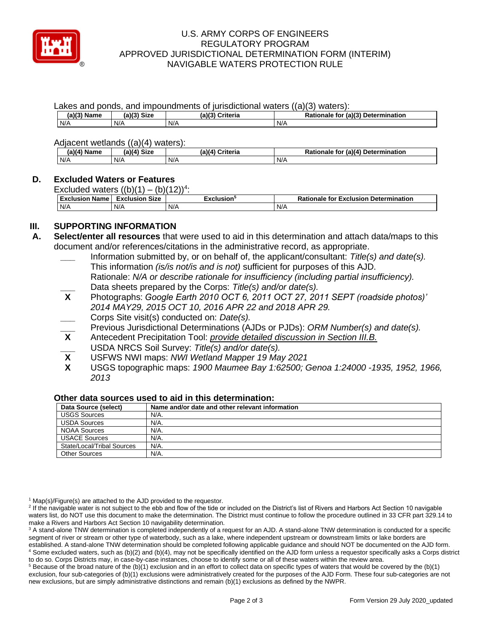

### U.S. ARMY CORPS OF ENGINEERS REGULATORY PROGRAM APPROVED JURISDICTIONAL DETERMINATION FORM (INTERIM) NAVIGABLE WATERS PROTECTION RULE

Lakes and ponds, and impoundments of jurisdictional waters ((a)(3) waters):

| $\sim$ $\sim$<br>(a)(3)<br>Name | <b>Size</b><br>.917 | (a) | Criteria | for<br>onale | (a)(3) Determination |
|---------------------------------|---------------------|-----|----------|--------------|----------------------|
| N/A                             | N/A                 | N/F |          | N/A          |                      |

Adjacent wetlands ((a)(4) waters):

| $(a)(4)$ Name<br>(a)(4) Size |     | (a)(4) Criteria | Rationale for (a)(4) Determination |  |  |  |  |
|------------------------------|-----|-----------------|------------------------------------|--|--|--|--|
| N/A                          | N/A | N/A             | N/A                                |  |  |  |  |

## **D. Excluded Waters or Features**

Excluded waters  $((b)(1) - (b)(12))^4$ :

| <b>Exclus</b><br>Name<br>usion | <b>Size</b><br>Exclusion | usion° | <b>Determination</b><br><b>Rationale for Exclusion</b> |
|--------------------------------|--------------------------|--------|--------------------------------------------------------|
| N/A                            | N/A                      | N/A    | N/A                                                    |

# **III. SUPPORTING INFORMATION**

- **A. Select/enter all resources** that were used to aid in this determination and attach data/maps to this document and/or references/citations in the administrative record, as appropriate.
	- **\_\_\_** Information submitted by, or on behalf of, the applicant/consultant: *Title(s) and date(s).* This information *(is/is not/is and is not)* sufficient for purposes of this AJD. Rationale: *N/A or describe rationale for insufficiency (including partial insufficiency).* **\_\_\_** Data sheets prepared by the Corps: *Title(s) and/or date(s).*
	- **X** Photographs: *Google Earth 2010 OCT 6, 2011 OCT 27, 2011 SEPT (roadside photos)' 2014 MAY29, 2015 OCT 10, 2016 APR 22 and 2018 APR 29.*
	- **\_\_\_** Corps Site visit(s) conducted on: *Date(s).*
	- **\_\_\_** Previous Jurisdictional Determinations (AJDs or PJDs): *ORM Number(s) and date(s).*
	- **X** Antecedent Precipitation Tool: *provide detailed discussion in Section III.B.*
	- **\_\_\_** USDA NRCS Soil Survey: *Title(s) and/or date(s).*
	- **X** USFWS NWI maps: *NWI Wetland Mapper 19 May 2021*
	- **X** USGS topographic maps: *1900 Maumee Bay 1:62500; Genoa 1:24000 -1935, 1952, 1966, 2013*

#### **Other data sources used to aid in this determination:**

| Data Source (select)       | Name and/or date and other relevant information |
|----------------------------|-------------------------------------------------|
| <b>USGS Sources</b>        | N/A.                                            |
| <b>USDA Sources</b>        | N/A.                                            |
| NOAA Sources               | N/A.                                            |
| <b>USACE Sources</b>       | N/A.                                            |
| State/Local/Tribal Sources | N/A.                                            |
| <b>Other Sources</b>       | N/A.                                            |

 $1$  Map(s)/Figure(s) are attached to the AJD provided to the requestor.

<sup>2</sup> If the navigable water is not subject to the ebb and flow of the tide or included on the District's list of Rivers and Harbors Act Section 10 navigable waters list, do NOT use this document to make the determination. The District must continue to follow the procedure outlined in 33 CFR part 329.14 to make a Rivers and Harbors Act Section 10 navigability determination.

to do so. Corps Districts may, in case-by-case instances, choose to identify some or all of these waters within the review area.  $5$  Because of the broad nature of the (b)(1) exclusion and in an effort to collect data on specific types of waters that would be covered by the (b)(1) exclusion, four sub-categories of (b)(1) exclusions were administratively created for the purposes of the AJD Form. These four sub-categories are not new exclusions, but are simply administrative distinctions and remain (b)(1) exclusions as defined by the NWPR.

<sup>&</sup>lt;sup>3</sup> A stand-alone TNW determination is completed independently of a request for an AJD. A stand-alone TNW determination is conducted for a specific segment of river or stream or other type of waterbody, such as a lake, where independent upstream or downstream limits or lake borders are established. A stand-alone TNW determination should be completed following applicable guidance and should NOT be documented on the AJD form. <sup>4</sup> Some excluded waters, such as (b)(2) and (b)(4), may not be specifically identified on the AJD form unless a requestor specifically asks a Corps district